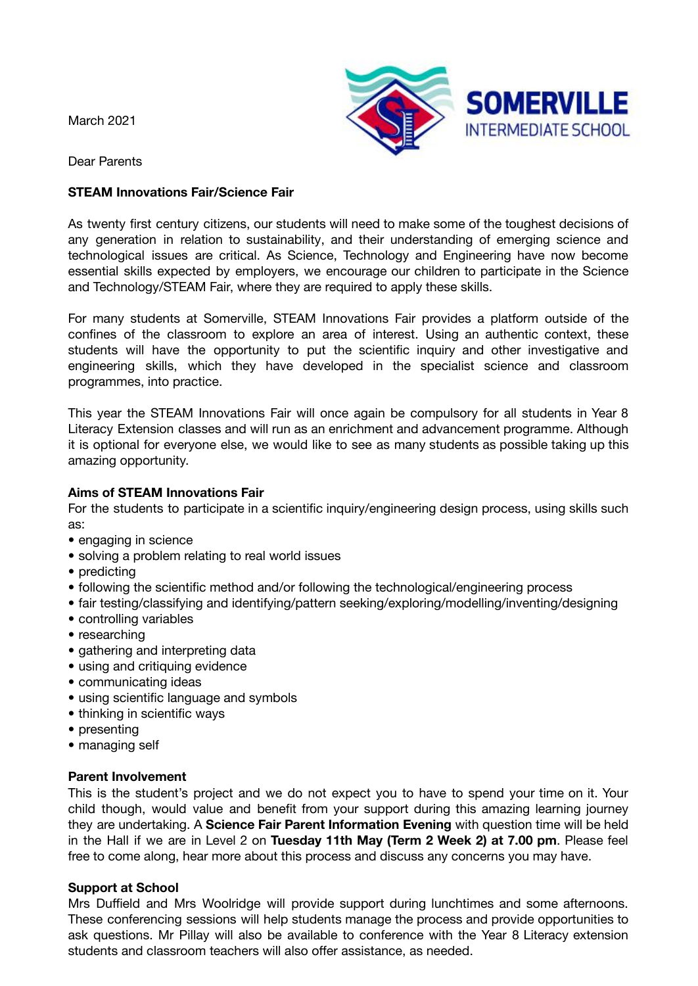March 2021



Dear Parents

## **STEAM Innovations Fair/Science Fair**

As twenty first century citizens, our students will need to make some of the toughest decisions of any generation in relation to sustainability, and their understanding of emerging science and technological issues are critical. As Science, Technology and Engineering have now become essential skills expected by employers, we encourage our children to participate in the Science and Technology/STEAM Fair, where they are required to apply these skills.

For many students at Somerville, STEAM Innovations Fair provides a platform outside of the confines of the classroom to explore an area of interest. Using an authentic context, these students will have the opportunity to put the scientific inquiry and other investigative and engineering skills, which they have developed in the specialist science and classroom programmes, into practice.

This year the STEAM Innovations Fair will once again be compulsory for all students in Year 8 Literacy Extension classes and will run as an enrichment and advancement programme. Although it is optional for everyone else, we would like to see as many students as possible taking up this amazing opportunity.

## **Aims of STEAM Innovations Fair**

For the students to participate in a scientific inquiry/engineering design process, using skills such as:

- engaging in science
- solving a problem relating to real world issues
- predicting
- following the scientific method and/or following the technological/engineering process
- fair testing/classifying and identifying/pattern seeking/exploring/modelling/inventing/designing
- controlling variables • researching
- gathering and interpreting data
- using and critiquing evidence
- communicating ideas
- using scientific language and symbols
- thinking in scientific ways
- presenting
- managing self

## **Parent Involvement**

This is the student's project and we do not expect you to have to spend your time on it. Your child though, would value and benefit from your support during this amazing learning journey they are undertaking. A **Science Fair Parent Information Evening** with question time will be held in the Hall if we are in Level 2 on **Tuesday 11th May (Term 2 Week 2) at 7.00 pm**. Please feel free to come along, hear more about this process and discuss any concerns you may have.

# **Support at School**

Mrs Duffield and Mrs Woolridge will provide support during lunchtimes and some afternoons. These conferencing sessions will help students manage the process and provide opportunities to ask questions. Mr Pillay will also be available to conference with the Year 8 Literacy extension students and classroom teachers will also offer assistance, as needed.